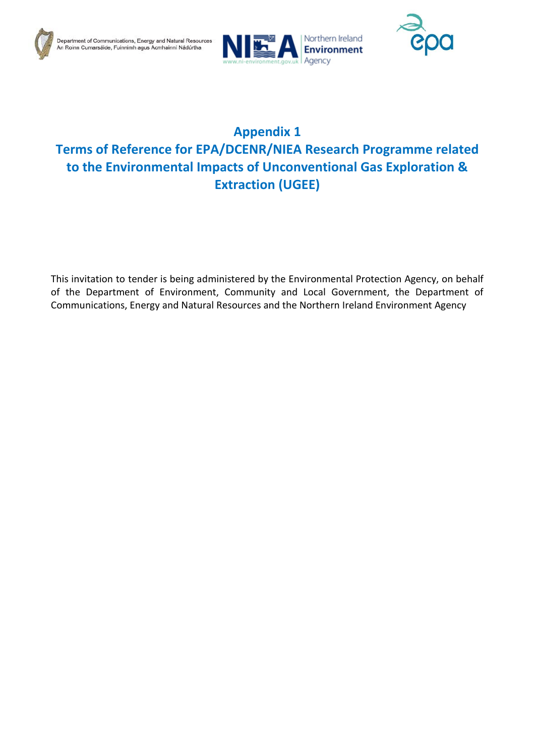





# **Appendix 1 Terms of Reference for EPA/DCENR/NIEA Research Programme related to the Environmental Impacts of Unconventional Gas Exploration & Extraction (UGEE)**

This invitation to tender is being administered by the Environmental Protection Agency, on behalf of the Department of Environment, Community and Local Government, the Department of Communications, Energy and Natural Resources and the Northern Ireland Environment Agency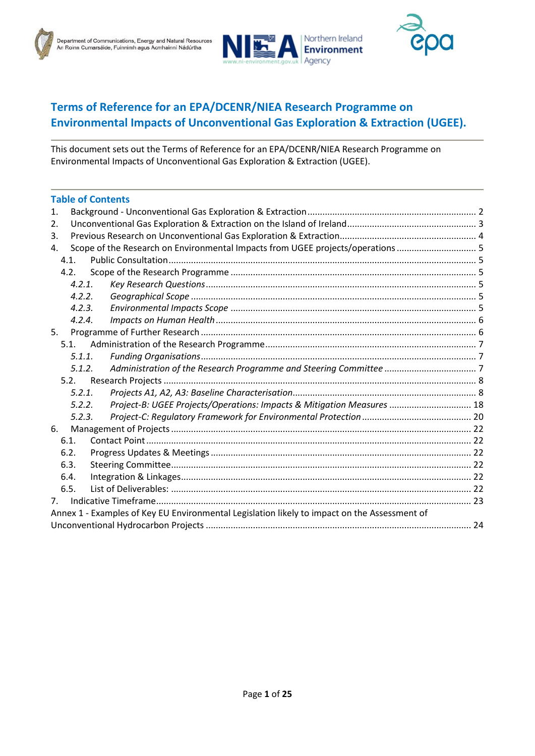



## **Terms of Reference for an EPA/DCENR/NIEA Research Programme on Environmental Impacts of Unconventional Gas Exploration & Extraction (UGEE).**

This document sets out the Terms of Reference for an EPA/DCENR/NIEA Research Programme on Environmental Impacts of Unconventional Gas Exploration & Extraction (UGEE).

| <b>Table of Contents</b>                                                                     |  |  |  |  |  |
|----------------------------------------------------------------------------------------------|--|--|--|--|--|
| 1.                                                                                           |  |  |  |  |  |
| 2.                                                                                           |  |  |  |  |  |
| 3.                                                                                           |  |  |  |  |  |
| Scope of the Research on Environmental Impacts from UGEE projects/operations 5<br>4.         |  |  |  |  |  |
| 4.1.                                                                                         |  |  |  |  |  |
| 4.2.                                                                                         |  |  |  |  |  |
| 4.2.1.                                                                                       |  |  |  |  |  |
| 4.2.2.                                                                                       |  |  |  |  |  |
| 4.2.3.                                                                                       |  |  |  |  |  |
| 4.2.4.                                                                                       |  |  |  |  |  |
| 5.                                                                                           |  |  |  |  |  |
| 5.1.                                                                                         |  |  |  |  |  |
| 5.1.1.                                                                                       |  |  |  |  |  |
| 5.1.2.                                                                                       |  |  |  |  |  |
| 5.2.                                                                                         |  |  |  |  |  |
| 5.2.1.                                                                                       |  |  |  |  |  |
| Project-B: UGEE Projects/Operations: Impacts & Mitigation Measures  18<br>5.2.2.             |  |  |  |  |  |
| 5.2.3.                                                                                       |  |  |  |  |  |
| 6.                                                                                           |  |  |  |  |  |
| 6.1.                                                                                         |  |  |  |  |  |
| 6.2.                                                                                         |  |  |  |  |  |
| 6.3.                                                                                         |  |  |  |  |  |
| 6.4.                                                                                         |  |  |  |  |  |
| 6.5.                                                                                         |  |  |  |  |  |
| 7 <sub>1</sub>                                                                               |  |  |  |  |  |
| Annex 1 - Examples of Key EU Environmental Legislation likely to impact on the Assessment of |  |  |  |  |  |
|                                                                                              |  |  |  |  |  |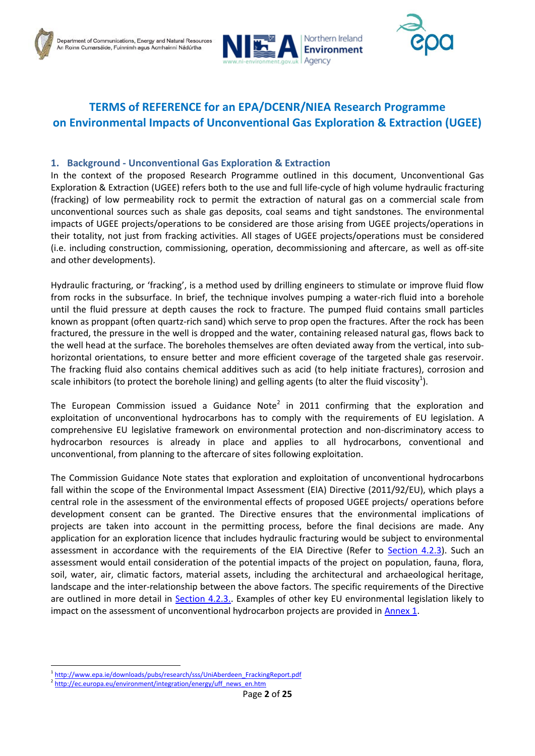



## **TERMS of REFERENCE for an EPA/DCENR/NIEA Research Programme on Environmental Impacts of Unconventional Gas Exploration & Extraction (UGEE)**

## <span id="page-2-0"></span>**1. Background - Unconventional Gas Exploration & Extraction**

In the context of the proposed Research Programme outlined in this document, Unconventional Gas Exploration & Extraction (UGEE) refers both to the use and full life-cycle of high volume hydraulic fracturing (fracking) of low permeability rock to permit the extraction of natural gas on a commercial scale from unconventional sources such as shale gas deposits, coal seams and tight sandstones. The environmental impacts of UGEE projects/operations to be considered are those arising from UGEE projects/operations in their totality, not just from fracking activities. All stages of UGEE projects/operations must be considered (i.e. including construction, commissioning, operation, decommissioning and aftercare, as well as off-site and other developments).

Hydraulic fracturing, or 'fracking', is a method used by drilling engineers to stimulate or improve fluid flow from rocks in the subsurface. In brief, the technique involves pumping a water-rich fluid into a borehole until the fluid pressure at depth causes the rock to fracture. The pumped fluid contains small particles known as proppant (often quartz-rich sand) which serve to prop open the fractures. After the rock has been fractured, the pressure in the well is dropped and the water, containing released natural gas, flows back to the well head at the surface. The boreholes themselves are often deviated away from the vertical, into subhorizontal orientations, to ensure better and more efficient coverage of the targeted shale gas reservoir. The fracking fluid also contains chemical additives such as acid (to help initiate fractures), corrosion and scale inhibitors (to protect the borehole lining) and gelling agents (to alter the fluid viscosity<sup>1</sup>).

The European Commission issued a Guidance Note<sup>2</sup> in 2011 confirming that the exploration and exploitation of unconventional hydrocarbons has to comply with the requirements of EU legislation. A comprehensive EU legislative framework on environmental protection and non-discriminatory access to hydrocarbon resources is already in place and applies to all hydrocarbons, conventional and unconventional, from planning to the aftercare of sites following exploitation.

The Commission Guidance Note states that exploration and exploitation of unconventional hydrocarbons fall within the scope of the Environmental Impact Assessment (EIA) Directive (2011/92/EU), which plays a central role in the assessment of the environmental effects of proposed UGEE projects/ operations before development consent can be granted. The Directive ensures that the environmental implications of projects are taken into account in the permitting process, before the final decisions are made. Any application for an exploration licence that includes hydraulic fracturing would be subject to environmental assessment in accordance with the requirements of the EIA Directive (Refer to [Section 4.2.3\)](#page-5-4). Such an assessment would entail consideration of the potential impacts of the project on population, fauna, flora, soil, water, air, climatic factors, material assets, including the architectural and archaeological heritage, landscape and the inter-relationship between the above factors. The specific requirements of the Directive are outlined in more detail in [Section 4.2.3..](#page-5-4) Examples of other key EU environmental legislation likely to impact on the assessment of unconventional hydrocarbon projects are provided in [Annex 1.](#page-24-0)

<sup>1</sup> <sup>1</sup>[http://www.epa.ie/downloads/pubs/research/sss/UniAberdeen\\_FrackingReport.pdf](http://www.epa.ie/downloads/pubs/research/sss/UniAberdeen_FrackingReport.pdf)

<sup>&</sup>lt;sup>2</sup> [http://ec.europa.eu/environment/integration/energy/uff\\_news\\_en.htm](http://ec.europa.eu/environment/integration/energy/uff_news_en.htm)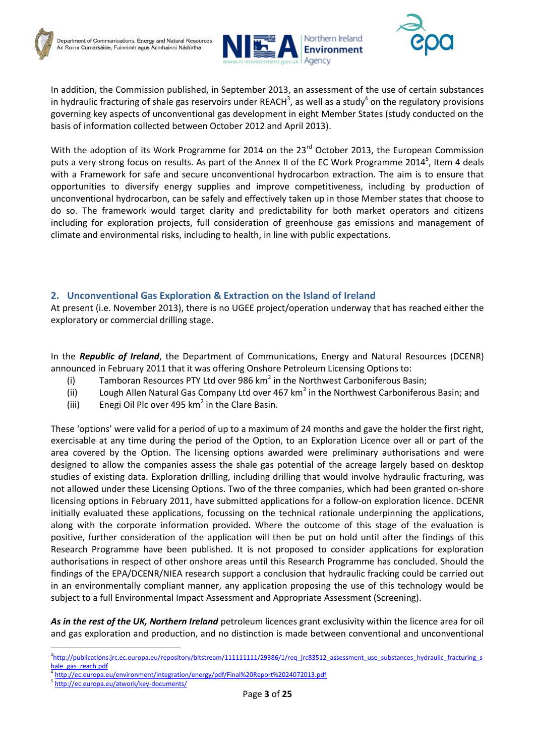



In addition, the Commission published, in September 2013, an assessment of the use of certain substances in hydraulic fracturing of shale gas reservoirs under REACH<sup>3</sup>, as well as a study<sup>4</sup> on the regulatory provisions governing key aspects of unconventional gas development in eight Member States (study conducted on the basis of information collected between October 2012 and April 2013).

With the adoption of its Work Programme for 2014 on the 23<sup>rd</sup> October 2013, the European Commission puts a very strong focus on results. As part of the Annex II of the EC Work Programme 2014<sup>5</sup>, Item 4 deals with a Framework for safe and secure unconventional hydrocarbon extraction. The aim is to ensure that opportunities to diversify energy supplies and improve competitiveness, including by production of unconventional hydrocarbon, can be safely and effectively taken up in those Member states that choose to do so. The framework would target clarity and predictability for both market operators and citizens including for exploration projects, full consideration of greenhouse gas emissions and management of climate and environmental risks, including to health, in line with public expectations.

## <span id="page-3-0"></span>**2. Unconventional Gas Exploration & Extraction on the Island of Ireland**

At present (i.e. November 2013), there is no UGEE project/operation underway that has reached either the exploratory or commercial drilling stage.

In the *Republic of Ireland*, the Department of Communications, Energy and Natural Resources (DCENR) announced in February 2011 that it was offering Onshore Petroleum Licensing Options to:

- (i) Tamboran Resources PTY Ltd over 986 km<sup>2</sup> in the Northwest Carboniferous Basin;
- (ii) Lough Allen Natural Gas Company Ltd over 467 km<sup>2</sup> in the Northwest Carboniferous Basin; and
- (iii) Enegi Oil Plc over 495 km<sup>2</sup> in the Clare Basin.

These 'options' were valid for a period of up to a maximum of 24 months and gave the holder the first right, exercisable at any time during the period of the Option, to an Exploration Licence over all or part of the area covered by the Option. The licensing options awarded were preliminary authorisations and were designed to allow the companies assess the shale gas potential of the acreage largely based on desktop studies of existing data. Exploration drilling, including drilling that would involve hydraulic fracturing, was not allowed under these Licensing Options. Two of the three companies, which had been granted on-shore licensing options in February 2011, have submitted applications for a follow-on exploration licence. DCENR initially evaluated these applications, focussing on the technical rationale underpinning the applications, along with the corporate information provided. Where the outcome of this stage of the evaluation is positive, further consideration of the application will then be put on hold until after the findings of this Research Programme have been published. It is not proposed to consider applications for exploration authorisations in respect of other onshore areas until this Research Programme has concluded. Should the findings of the EPA/DCENR/NIEA research support a conclusion that hydraulic fracking could be carried out in an environmentally compliant manner, any application proposing the use of this technology would be subject to a full Environmental Impact Assessment and Appropriate Assessment (Screening).

*As in the rest of the UK, Northern Ireland* petroleum licences grant exclusivity within the licence area for oil and gas exploration and production, and no distinction is made between conventional and unconventional

5 <http://ec.europa.eu/atwork/key-documents/>

**<sup>.</sup>** <sup>3</sup>[http://publications.jrc.ec.europa.eu/repository/bitstream/111111111/29386/1/req\\_jrc83512\\_assessment\\_use\\_substances\\_hydraulic\\_fracturing\\_s](http://publications.jrc.ec.europa.eu/repository/bitstream/111111111/29386/1/req_jrc83512_assessment_use_substances_hydraulic_fracturing_shale_gas_reach.pdf) hale gas reach.pdf

<sup>4</sup> <http://ec.europa.eu/environment/integration/energy/pdf/Final%20Report%2024072013.pdf>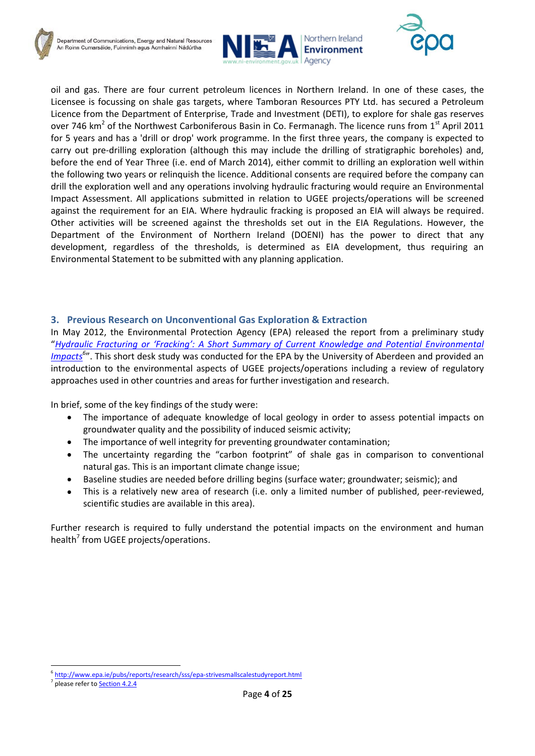



oil and gas. There are four current petroleum licences in Northern Ireland. In one of these cases, the Licensee is focussing on shale gas targets, where Tamboran Resources PTY Ltd. has secured a Petroleum Licence from the Department of Enterprise, Trade and Investment (DETI), to explore for shale gas reserves over 746 km<sup>2</sup> of the Northwest Carboniferous Basin in Co. Fermanagh. The licence runs from 1<sup>st</sup> April 2011 for 5 years and has a 'drill or drop' work programme. In the first three years, the company is expected to carry out pre-drilling exploration (although this may include the drilling of stratigraphic boreholes) and, before the end of Year Three (i.e. end of March 2014), either commit to drilling an exploration well within the following two years or relinquish the licence. Additional consents are required before the company can drill the exploration well and any operations involving hydraulic fracturing would require an Environmental Impact Assessment. All applications submitted in relation to UGEE projects/operations will be screened against the requirement for an EIA. Where hydraulic fracking is proposed an EIA will always be required. Other activities will be screened against the thresholds set out in the EIA Regulations. However, the Department of the Environment of Northern Ireland (DOENI) has the power to direct that any development, regardless of the thresholds, is determined as EIA development, thus requiring an Environmental Statement to be submitted with any planning application.

## <span id="page-4-0"></span>**3. Previous Research on Unconventional Gas Exploration & Extraction**

In May 2012, the Environmental Protection Agency (EPA) released the report from a preliminary study "*Hydraulic Frac[turing or 'Fracking': A Short Summary of Current Knowledge and Potential Environmental](http://www.epa.ie/pubs/reports/research/sss/epa-strivesmallscalestudyreport.html)  [Impacts](http://www.epa.ie/pubs/reports/research/sss/epa-strivesmallscalestudyreport.html)<sup>6</sup>* ". This short desk study was conducted for the EPA by the University of Aberdeen and provided an introduction to the environmental aspects of UGEE projects/operations including a review of regulatory approaches used in other countries and areas for further investigation and research.

In brief, some of the key findings of the study were:

- The importance of adequate knowledge of local geology in order to assess potential impacts on  $\bullet$ groundwater quality and the possibility of induced seismic activity;
- The importance of well integrity for preventing groundwater contamination;  $\bullet$
- The uncertainty regarding the "carbon footprint" of shale gas in comparison to conventional  $\bullet$ natural gas. This is an important climate change issue;
- $\bullet$ Baseline studies are needed before drilling begins (surface water; groundwater; seismic); and
- This is a relatively new area of research (i.e. only a limited number of published, peer-reviewed, scientific studies are available in this area).

<span id="page-4-1"></span>Further research is required to fully understand the potential impacts on the environment and human health<sup>7</sup> from UGEE projects/operations.

<sup>7</sup> please refer to **Section 4.2.4** 

<sup>1</sup> 6 <http://www.epa.ie/pubs/reports/research/sss/epa-strivesmallscalestudyreport.html>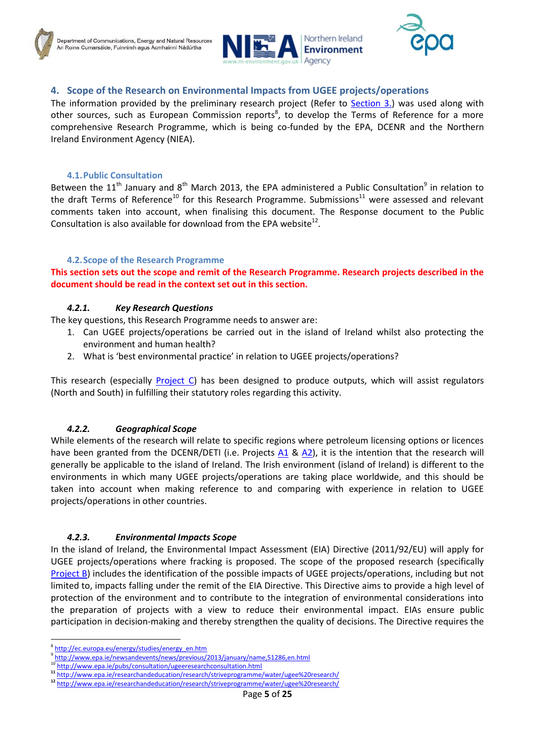



## **4. Scope of the Research on Environmental Impacts from UGEE projects/operations**

The information provided by the preliminary research project (Refer to [Section 3.\)](#page-4-0) was used along with other sources, such as European Commission reports<sup>8</sup>, to develop the Terms of Reference for a more comprehensive Research Programme, which is being co-funded by the EPA, DCENR and the Northern Ireland Environment Agency (NIEA).

#### **4.1.Public Consultation**

<span id="page-5-0"></span>Between the 11<sup>th</sup> January and 8<sup>th</sup> March 2013, the EPA administered a Public Consultation<sup>9</sup> in relation to the draft Terms of Reference<sup>10</sup> for this Research Programme. Submissions<sup>11</sup> were assessed and relevant comments taken into account, when finalising this document. The Response document to the Public Consultation is also available for download from the EPA website $^{12}$ .

#### **4.2.Scope of the Research Programme**

<span id="page-5-1"></span>**This section sets out the scope and remit of the Research Programme. Research projects described in the document should be read in the context set out in this section.**

#### *4.2.1. Key Research Questions*

<span id="page-5-2"></span>The key questions, this Research Programme needs to answer are:

- 1. Can UGEE projects/operations be carried out in the island of Ireland whilst also protecting the environment and human health?
- 2. What is 'best environmental practice' in relation to UGEE projects/operations?

This research (especially **Project C**) has been designed to produce outputs, which will assist regulators (North and South) in fulfilling their statutory roles regarding this activity.

#### *4.2.2. Geographical Scope*

<span id="page-5-3"></span>While elements of the research will relate to specific regions where petroleum licensing options or licences have been granted from the DCENR/DETI (i.e. Projects [A1](#page-9-0) & [A2\)](#page-13-0), it is the intention that the research will generally be applicable to the island of Ireland. The Irish environment (island of Ireland) is different to the environments in which many UGEE projects/operations are taking place worldwide, and this should be taken into account when making reference to and comparing with experience in relation to UGEE projects/operations in other countries.

#### *4.2.3. Environmental Impacts Scope*

<span id="page-5-4"></span>In the island of Ireland, the Environmental Impact Assessment (EIA) Directive (2011/92/EU) will apply for UGEE projects/operations where fracking is proposed. The scope of the proposed research (specifically [Project B\)](#page-18-0) includes the identification of the possible impacts of UGEE projects/operations, including but not limited to, impacts falling under the remit of the EIA Directive. This Directive aims to provide a high level of protection of the environment and to contribute to the integration of environmental considerations into the preparation of projects with a view to reduce their environmental impact. EIAs ensure public participation in decision-making and thereby strengthen the quality of decisions. The Directive requires the

<sup>&</sup>lt;sup>8</sup> [http://ec.europa.eu/energy/studies/energy\\_en.htm](http://ec.europa.eu/energy/studies/energy_en.htm)

<sup>9</sup> <http://www.epa.ie/newsandevents/news/previous/2013/january/name,51286,en.html>

<http://www.epa.ie/pubs/consultation/ugeeresearchconsultation.html>

**<sup>11</sup>** <http://www.epa.ie/researchandeducation/research/striveprogramme/water/ugee%20research/>

**<sup>12</sup>** <http://www.epa.ie/researchandeducation/research/striveprogramme/water/ugee%20research/>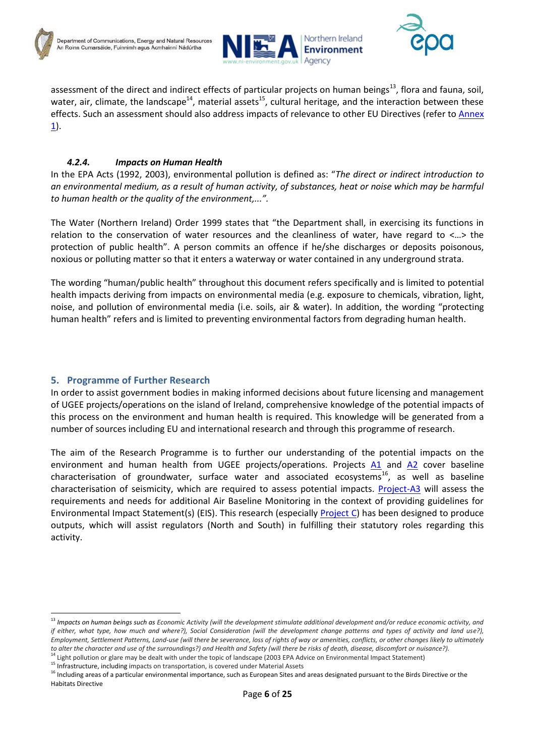



assessment of the direct and indirect effects of particular projects on human beings<sup>13</sup>, flora and fauna, soil, water, air, climate, the landscape<sup>14</sup>, material assets<sup>15</sup>, cultural heritage, and the interaction between these effects. Such an assessment should also address impacts of relevance to other EU Directives (refer to [Annex](#page-24-0)   $\underline{1}$ .

## *4.2.4. Impacts on Human Health*

<span id="page-6-0"></span>In the EPA Acts (1992, 2003), environmental pollution is defined as: "*The direct or indirect introduction to an environmental medium, as a result of human activity, of substances, heat or noise which may be harmful to human health or the quality of the environment,...".*

The Water (Northern Ireland) Order 1999 states that "the Department shall, in exercising its functions in relation to the conservation of water resources and the cleanliness of water, have regard to <…> the protection of public health". A person commits an offence if he/she discharges or deposits poisonous, noxious or polluting matter so that it enters a waterway or water contained in any underground strata.

The wording "human/public health" throughout this document refers specifically and is limited to potential health impacts deriving from impacts on environmental media (e.g. exposure to chemicals, vibration, light, noise, and pollution of environmental media (i.e. soils, air & water). In addition, the wording "protecting human health" refers and is limited to preventing environmental factors from degrading human health.

## <span id="page-6-1"></span>**5. Programme of Further Research**

<span id="page-6-2"></span>**.** 

In order to assist government bodies in making informed decisions about future licensing and management of UGEE projects/operations on the island of Ireland, comprehensive knowledge of the potential impacts of this process on the environment and human health is required. This knowledge will be generated from a number of sources including EU and international research and through this programme of research.

The aim of the Research Programme is to further our understanding of the potential impacts on the environment and human health from UGEE projects/operations. Projects [A1](#page-9-0) and [A2](#page-13-0) cover baseline characterisation of groundwater, surface water and associated ecosystems<sup>16</sup>, as well as baseline characterisation of seismicity, which are required to assess potential impacts. [Project-A3](#page-16-0) will assess the requirements and needs for additional Air Baseline Monitoring in the context of providing guidelines for Environmental Impact Statement(s) (EIS). This research (especially [Project C\)](#page-20-0) has been designed to produce outputs, which will assist regulators (North and South) in fulfilling their statutory roles regarding this activity.

<sup>13</sup> *Impacts on human beings such as Economic Activity (will the development stimulate additional development and/or reduce economic activity, and if either, what type, how much and where?), Social Consideration (will the development change patterns and types of activity and land use?), Employment, Settlement Patterns, Land-use (will there be severance, loss of rights of way or amenities, conflicts, or other changes likely to ultimately to alter the character and use of the surroundings?) and Health and Safety (will there be risks of death, disease, discomfort or nuisance?).*

<sup>&</sup>lt;sup>14</sup> Light pollution or glare may be dealt with under the topic of landscape (2003 EPA Advice on Environmental Impact Statement)

<sup>&</sup>lt;sup>15</sup> Infrastructure, including impacts on transportation, is covered under Material Assets

<sup>&</sup>lt;sup>16</sup> Including areas of a particular environmental importance, such as European Sites and areas designated pursuant to the Birds Directive or the Habitats Directive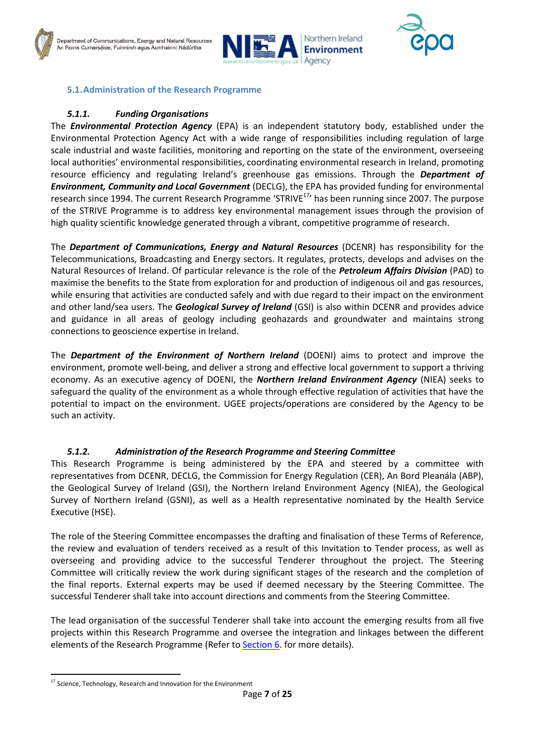



#### **5.1.Administration of the Research Programme**

## *5.1.1. Funding Organisations*

<span id="page-7-0"></span>The *Environmental Protection Agency* (EPA) is an independent statutory body, established under the Environmental Protection Agency Act with a wide range of responsibilities including regulation of large scale industrial and waste facilities, monitoring and reporting on the state of the environment, overseeing local authorities' environmental responsibilities, coordinating environmental research in Ireland, promoting resource efficiency and regulating Ireland's greenhouse gas emissions. Through the *Department of Environment, Community and Local Government* (DECLG), the EPA has provided funding for environmental research since 1994. The current Research Programme 'STRIVE<sup>17</sup>' has been running since 2007. The purpose of the STRIVE Programme is to address key environmental management issues through the provision of high quality scientific knowledge generated through a vibrant, competitive programme of research.

The *Department of Communications, Energy and Natural Resources* (DCENR) has responsibility for the Telecommunications, Broadcasting and Energy sectors. It regulates, protects, develops and advises on the Natural Resources of Ireland. Of particular relevance is the role of the *Petroleum Affairs Division* (PAD) to maximise the benefits to the State from exploration for and production of indigenous oil and gas resources, while ensuring that activities are conducted safely and with due regard to their impact on the environment and other land/sea users. The *Geological Survey of Ireland* (GSI) is also within DCENR and provides advice and guidance in all areas of geology including geohazards and groundwater and maintains strong connections to geoscience expertise in Ireland.

The *Department of the Environment of Northern Ireland* (DOENI) aims to protect and improve the environment, promote well-being, and deliver a strong and effective local government to support a thriving economy. As an executive agency of DOENI, the *Northern Ireland Environment Agency* (NIEA) seeks to safeguard the quality of the environment as a whole through effective regulation of activities that have the potential to impact on the environment. UGEE projects/operations are considered by the Agency to be such an activity.

#### *5.1.2. Administration of the Research Programme and Steering Committee*

<span id="page-7-1"></span>This Research Programme is being administered by the EPA and steered by a committee with representatives from DCENR, DECLG, the Commission for Energy Regulation (CER), An Bord Pleanála (ABP), the Geological Survey of Ireland (GSI), the Northern Ireland Environment Agency (NIEA), the Geological Survey of Northern Ireland (GSNI), as well as a Health representative nominated by the Health Service Executive (HSE).

The role of the Steering Committee encompasses the drafting and finalisation of these Terms of Reference, the review and evaluation of tenders received as a result of this Invitation to Tender process, as well as overseeing and providing advice to the successful Tenderer throughout the project. The Steering Committee will critically review the work during significant stages of the research and the completion of the final reports. External experts may be used if deemed necessary by the Steering Committee. The successful Tenderer shall take into account directions and comments from the Steering Committee.

The lead organisation of the successful Tenderer shall take into account the emerging results from all five projects within this Research Programme and oversee the integration and linkages between the different elements of the Research Programme (Refer to [Section 6.](#page-22-0) for more details).

<sup>1</sup> <sup>17</sup> Science, Technology, Research and Innovation for the Environment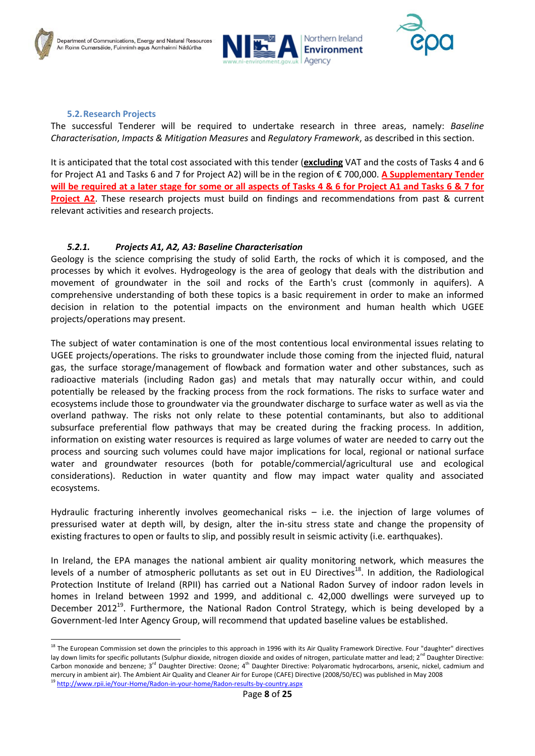



#### **5.2.Research Projects**

<span id="page-8-0"></span>The successful Tenderer will be required to undertake research in three areas, namely: *Baseline Characterisation*, *Impacts & Mitigation Measures* and *Regulatory Framework*, as described in this section.

It is anticipated that the total cost associated with this tender (**excluding** VAT and the costs of Tasks 4 and 6 for Project A1 and Tasks 6 and 7 for Project A2) will be in the region of € 700,000. **A Supplementary Tender will be required at a later stage for some or all aspects of Tasks 4 & 6 for Project A1 and Tasks 6 & 7 for Project A2**. These research projects must build on findings and recommendations from past & current relevant activities and research projects.

#### *5.2.1. Projects A1, A2, A3: Baseline Characterisation*

<span id="page-8-1"></span>Geology is the science comprising the study of solid Earth, the rocks of which it is composed, and the processes by which it evolves. Hydrogeology is the area of geology that deals with the distribution and movement of groundwater in the soil and rocks of the Earth's crust (commonly in aquifers). A comprehensive understanding of both these topics is a basic requirement in order to make an informed decision in relation to the potential impacts on the environment and human health which UGEE projects/operations may present.

The subject of water contamination is one of the most contentious local environmental issues relating to UGEE projects/operations. The risks to groundwater include those coming from the injected fluid, natural gas, the surface storage/management of flowback and formation water and other substances, such as radioactive materials (including Radon gas) and metals that may naturally occur within, and could potentially be released by the fracking process from the rock formations. The risks to surface water and ecosystems include those to groundwater via the groundwater discharge to surface water as well as via the overland pathway. The risks not only relate to these potential contaminants, but also to additional subsurface preferential flow pathways that may be created during the fracking process. In addition, information on existing water resources is required as large volumes of water are needed to carry out the process and sourcing such volumes could have major implications for local, regional or national surface water and groundwater resources (both for potable/commercial/agricultural use and ecological considerations). Reduction in water quantity and flow may impact water quality and associated ecosystems.

Hydraulic fracturing inherently involves geomechanical risks – i.e. the injection of large volumes of pressurised water at depth will, by design, alter the in-situ stress state and change the propensity of existing fractures to open or faults to slip, and possibly result in seismic activity (i.e. earthquakes).

In Ireland, the EPA manages the national ambient air quality monitoring network, which measures the levels of a number of atmospheric pollutants as set out in EU Directives<sup>18</sup>. In addition, the Radiological Protection Institute of Ireland (RPII) has carried out a National Radon Survey of indoor radon levels in homes in Ireland between 1992 and 1999, and additional c. 42,000 dwellings were surveyed up to December 2012<sup>19</sup>. Furthermore, the National Radon Control Strategy, which is being developed by a Government-led Inter Agency Group, will recommend that updated baseline values be established.

<sup>&</sup>lt;sup>18</sup> The European Commission set down the principles to this approach in 1996 with its Air Quality Framework Directive. Four "daughter" directives lay down limits for specific pollutants (Sulphur dioxide, nitrogen dioxide and oxides of nitrogen, particulate matter and lead; 2<sup>nd</sup> Daughter Directive: Carbon monoxide and benzene; 3<sup>rd</sup> Daughter Directive: Ozone; 4<sup>th</sup> Daughter Directive: Polyaromatic hydrocarbons, arsenic, nickel, cadmium and mercury in ambient air). The Ambient Air Quality and Cleaner Air for Europe (CAFE) Directive (2008/50/EC) was published in May 2008

<sup>&</sup>lt;sup>19</sup> <http://www.rpii.ie/Your-Home/Radon-in-your-home/Radon-results-by-country.aspx>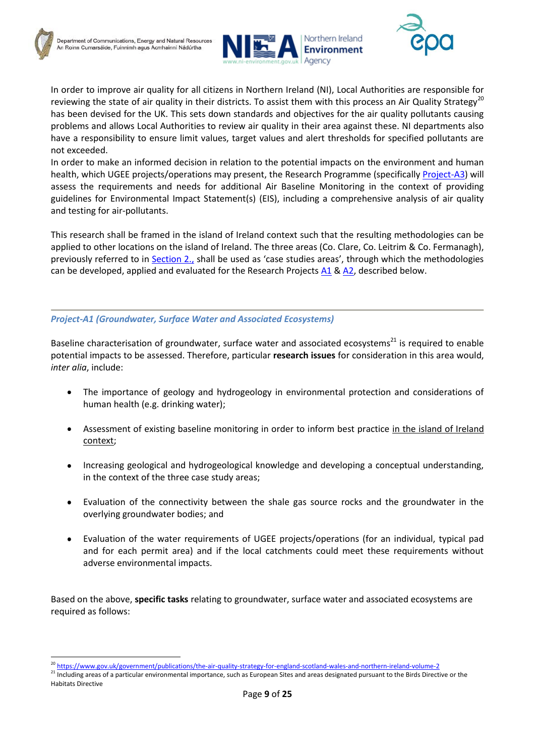



In order to improve air quality for all citizens in Northern Ireland (NI), Local Authorities are responsible for reviewing the state of air quality in their districts. To assist them with this process an Air Quality Strategy<sup>20</sup> has been devised for the UK. This sets down standards and objectives for the air quality pollutants causing problems and allows Local Authorities to review air quality in their area against these. NI departments also have a responsibility to ensure limit values, target values and alert thresholds for specified pollutants are not exceeded.

In order to make an informed decision in relation to the potential impacts on the environment and human health, which UGEE projects/operations may present, the Research Programme (specifically [Project-A3\)](#page-16-0) will assess the requirements and needs for additional Air Baseline Monitoring in the context of providing guidelines for Environmental Impact Statement(s) (EIS), including a comprehensive analysis of air quality and testing for air-pollutants.

This research shall be framed in the island of Ireland context such that the resulting methodologies can be applied to other locations on the island of Ireland. The three areas (Co. Clare, Co. Leitrim & Co. Fermanagh), previously referred to in [Section 2.,](#page-3-0) shall be used as 'case studies areas', through which the methodologies can be developed, applied and evaluated for the Research Projects [A1](#page-9-0) [& A2,](#page-13-0) described below.

#### <span id="page-9-0"></span>*Project-A1 (Groundwater, Surface Water and Associated Ecosystems)*

Baseline characterisation of groundwater, surface water and associated ecosystems $^{21}$  is required to enable potential impacts to be assessed. Therefore, particular **research issues** for consideration in this area would, *inter alia*, include:

- The importance of geology and hydrogeology in environmental protection and considerations of  $\bullet$ human health (e.g. drinking water);
- $\bullet$ Assessment of existing baseline monitoring in order to inform best practice in the island of Ireland context;
- Increasing geological and hydrogeological knowledge and developing a conceptual understanding, in the context of the three case study areas;
- Evaluation of the connectivity between the shale gas source rocks and the groundwater in the overlying groundwater bodies; and
- Evaluation of the water requirements of UGEE projects/operations (for an individual, typical pad and for each permit area) and if the local catchments could meet these requirements without adverse environmental impacts.

Based on the above, **specific tasks** relating to groundwater, surface water and associated ecosystems are required as follows:

<sup>20</sup> <https://www.gov.uk/government/publications/the-air-quality-strategy-for-england-scotland-wales-and-northern-ireland-volume-2>

<sup>21</sup> Including areas of a particular environmental importance, such as European Sites and areas designated pursuant to the Birds Directive or the Habitats Directive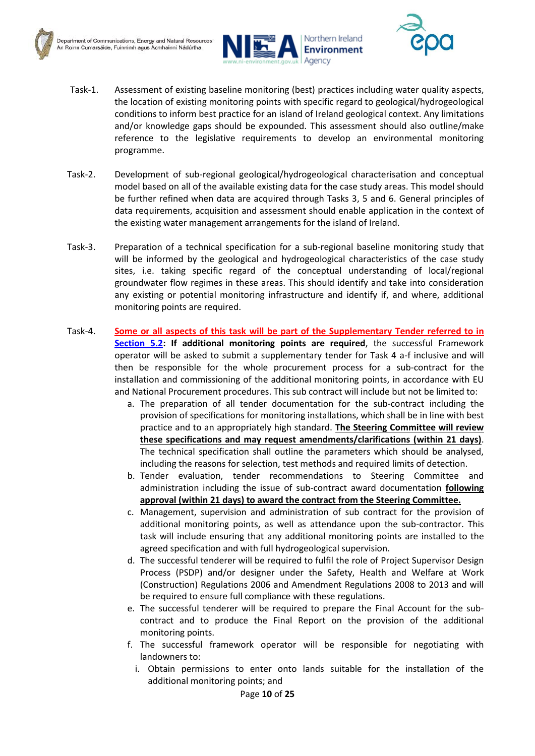



- Task-1. Assessment of existing baseline monitoring (best) practices including water quality aspects, the location of existing monitoring points with specific regard to geological/hydrogeological conditions to inform best practice for an island of Ireland geological context. Any limitations and/or knowledge gaps should be expounded. This assessment should also outline/make reference to the legislative requirements to develop an environmental monitoring programme.
- Task-2. Development of sub-regional geological/hydrogeological characterisation and conceptual model based on all of the available existing data for the case study areas. This model should be further refined when data are acquired through Tasks 3, 5 and 6. General principles of data requirements, acquisition and assessment should enable application in the context of the existing water management arrangements for the island of Ireland.
- Task-3. Preparation of a technical specification for a sub-regional baseline monitoring study that will be informed by the geological and hydrogeological characteristics of the case study sites, i.e. taking specific regard of the conceptual understanding of local/regional groundwater flow regimes in these areas. This should identify and take into consideration any existing or potential monitoring infrastructure and identify if, and where, additional monitoring points are required.
- Task-4. **Some or all aspects of this task will be part of the Supplementary Tender referred to in [Section 5.2:](#page-8-0) If additional monitoring points are required**, the successful Framework operator will be asked to submit a supplementary tender for Task 4 a-f inclusive and will then be responsible for the whole procurement process for a sub-contract for the installation and commissioning of the additional monitoring points, in accordance with EU and National Procurement procedures. This sub contract will include but not be limited to:
	- a. The preparation of all tender documentation for the sub-contract including the provision of specifications for monitoring installations, which shall be in line with best practice and to an appropriately high standard. **The Steering Committee will review these specifications and may request amendments/clarifications (within 21 days)**. The technical specification shall outline the parameters which should be analysed, including the reasons for selection, test methods and required limits of detection.
	- b. Tender evaluation, tender recommendations to Steering Committee and administration including the issue of sub-contract award documentation **following approval (within 21 days) to award the contract from the Steering Committee.**
	- c. Management, supervision and administration of sub contract for the provision of additional monitoring points, as well as attendance upon the sub-contractor. This task will include ensuring that any additional monitoring points are installed to the agreed specification and with full hydrogeological supervision.
	- d. The successful tenderer will be required to fulfil the role of Project Supervisor Design Process (PSDP) and/or designer under the Safety, Health and Welfare at Work (Construction) Regulations 2006 and Amendment Regulations 2008 to 2013 and will be required to ensure full compliance with these regulations.
	- e. The successful tenderer will be required to prepare the Final Account for the subcontract and to produce the Final Report on the provision of the additional monitoring points.
	- f. The successful framework operator will be responsible for negotiating with landowners to:
		- i. Obtain permissions to enter onto lands suitable for the installation of the additional monitoring points; and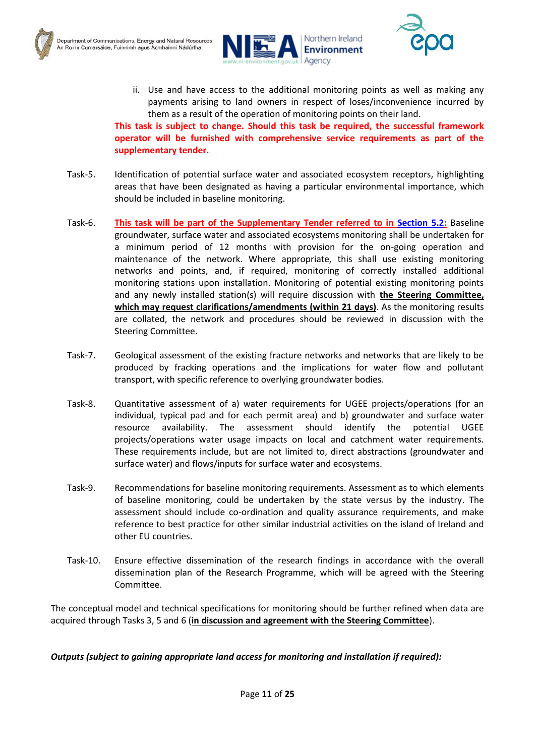





ii. Use and have access to the additional monitoring points as well as making any payments arising to land owners in respect of loses/inconvenience incurred by them as a result of the operation of monitoring points on their land. **This task is subject to change. Should this task be required, the successful framework** 

**operator will be furnished with comprehensive service requirements as part of the supplementary tender.**

- Task-5. Identification of potential surface water and associated ecosystem receptors, highlighting areas that have been designated as having a particular environmental importance, which should be included in baseline monitoring.
- Task-6. **This task will be part of the Supplementary Tender referred to in [Section](#page-8-0) 5.2:** Baseline groundwater, surface water and associated ecosystems monitoring shall be undertaken for a minimum period of 12 months with provision for the on-going operation and maintenance of the network. Where appropriate, this shall use existing monitoring networks and points, and, if required, monitoring of correctly installed additional monitoring stations upon installation. Monitoring of potential existing monitoring points and any newly installed station(s) will require discussion with **the Steering Committee, which may request clarifications/amendments (within 21 days)**. As the monitoring results are collated, the network and procedures should be reviewed in discussion with the Steering Committee.
- Task-7. Geological assessment of the existing fracture networks and networks that are likely to be produced by fracking operations and the implications for water flow and pollutant transport, with specific reference to overlying groundwater bodies.
- Task-8. Quantitative assessment of a) water requirements for UGEE projects/operations (for an individual, typical pad and for each permit area) and b) groundwater and surface water resource availability. The assessment should identify the potential UGEE projects/operations water usage impacts on local and catchment water requirements. These requirements include, but are not limited to, direct abstractions (groundwater and surface water) and flows/inputs for surface water and ecosystems.
- Task-9. Recommendations for baseline monitoring requirements. Assessment as to which elements of baseline monitoring, could be undertaken by the state versus by the industry. The assessment should include co-ordination and quality assurance requirements, and make reference to best practice for other similar industrial activities on the island of Ireland and other EU countries.
- Task-10. Ensure effective dissemination of the research findings in accordance with the overall dissemination plan of the Research Programme, which will be agreed with the Steering Committee.

The conceptual model and technical specifications for monitoring should be further refined when data are acquired through Tasks 3, 5 and 6 (**in discussion and agreement with the Steering Committee**).

*Outputs (subject to gaining appropriate land access for monitoring and installation if required):*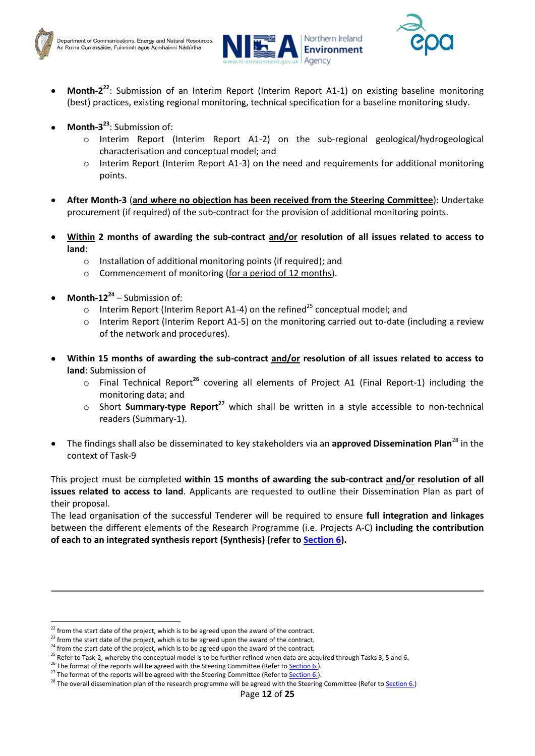



- Month-2<sup>22</sup>: Submission of an Interim Report (Interim Report A1-1) on existing baseline monitoring (best) practices, existing regional monitoring, technical specification for a baseline monitoring study.
- **Month-3 23** : Submission of:
	- o Interim Report (Interim Report A1-2) on the sub-regional geological/hydrogeological characterisation and conceptual model; and
	- Interim Report (Interim Report A1-3) on the need and requirements for additional monitoring points.
- **After Month-3** (**and where no objection has been received from the Steering Committee**): Undertake procurement (if required) of the sub-contract for the provision of additional monitoring points.
- **Within 2 months of awarding the sub-contract and/or resolution of all issues related to access to land**:
	- $\circ$  Installation of additional monitoring points (if required); and
	- o Commencement of monitoring (for a period of 12 months).
- **Month-12<sup>24</sup>** Submission of:

**.** 

- $\circ$  Interim Report (Interim Report A1-4) on the refined<sup>25</sup> conceptual model; and
- Interim Report (Interim Report A1-5) on the monitoring carried out to-date (including a review of the network and procedures).
- **Within 15 months of awarding the sub-contract and/or resolution of all issues related to access to land**: Submission of
	- o Final Technical Report**<sup>26</sup>** covering all elements of Project A1 (Final Report-1) including the monitoring data; and
	- o Short **Summary-type Report<sup>27</sup>** which shall be written in a style accessible to non-technical readers (Summary-1).
- The findings shall also be disseminated to key stakeholders via an **approved Dissemination Plan**<sup>28</sup> in the context of Task-9

This project must be completed **within 15 months of awarding the sub-contract and/or resolution of all issues related to access to land**. Applicants are requested to outline their Dissemination Plan as part of their proposal.

The lead organisation of the successful Tenderer will be required to ensure **full integration and linkages** between the different elements of the Research Programme (i.e. Projects A-C) **including the contribution of each to an integrated synthesis report (Synthesis) (refer to [Section 6\)](#page-22-0).**

 $22$  from the start date of the project, which is to be agreed upon the award of the contract.

<sup>&</sup>lt;sup>23</sup> from the start date of the project, which is to be agreed upon the award of the contract.

 $24$  from the start date of the project, which is to be agreed upon the award of the contract.

<sup>&</sup>lt;sup>25</sup> Refer to Task-2, whereby the conceptual model is to be further refined when data are acquired through Tasks 3, 5 and 6.

<sup>&</sup>lt;sup>26</sup> The format of the reports will be agreed with the Steering Committee (Refer to **Section 6.**).

<sup>&</sup>lt;sup>27</sup> The format of the reports will be agreed with the Steering Committee (Refer to **Section 6.**).

<sup>&</sup>lt;sup>28</sup> The overall dissemination plan of the research programme will be agreed with the Steering Committee (Refer to Section 6.)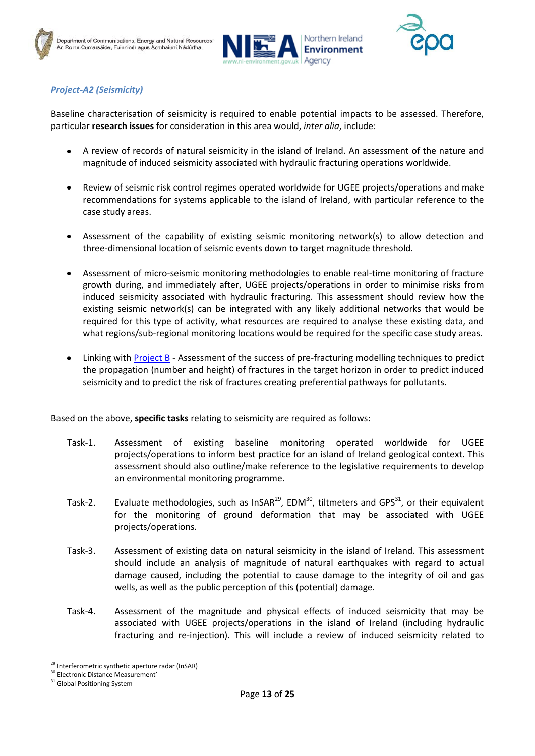





## <span id="page-13-0"></span>*Project-A2 (Seismicity)*

Baseline characterisation of seismicity is required to enable potential impacts to be assessed. Therefore, particular **research issues** for consideration in this area would, *inter alia*, include:

- A review of records of natural seismicity in the island of Ireland. An assessment of the nature and magnitude of induced seismicity associated with hydraulic fracturing operations worldwide.
- Review of seismic risk control regimes operated worldwide for UGEE projects/operations and make  $\bullet$ recommendations for systems applicable to the island of Ireland, with particular reference to the case study areas.
- Assessment of the capability of existing seismic monitoring network(s) to allow detection and three-dimensional location of seismic events down to target magnitude threshold.
- Assessment of micro-seismic monitoring methodologies to enable real-time monitoring of fracture  $\bullet$ growth during, and immediately after, UGEE projects/operations in order to minimise risks from induced seismicity associated with hydraulic fracturing. This assessment should review how the existing seismic network(s) can be integrated with any likely additional networks that would be required for this type of activity, what resources are required to analyse these existing data, and what regions/sub-regional monitoring locations would be required for the specific case study areas.
- Linking with [Project B](#page-18-0) Assessment of the success of pre-fracturing modelling techniques to predict  $\bullet$ the propagation (number and height) of fractures in the target horizon in order to predict induced seismicity and to predict the risk of fractures creating preferential pathways for pollutants.

Based on the above, **specific tasks** relating to seismicity are required as follows:

- Task-1. Assessment of existing baseline monitoring operated worldwide for UGEE projects/operations to inform best practice for an island of Ireland geological context. This assessment should also outline/make reference to the legislative requirements to develop an environmental monitoring programme.
- Task-2. Evaluate methodologies, such as InSAR<sup>29</sup>, EDM<sup>30</sup>, tiltmeters and GPS<sup>31</sup>, or their equivalent for the monitoring of ground deformation that may be associated with UGEE projects/operations.
- Task-3. Assessment of existing data on natural seismicity in the island of Ireland. This assessment should include an analysis of magnitude of natural earthquakes with regard to actual damage caused, including the potential to cause damage to the integrity of oil and gas wells, as well as the public perception of this (potential) damage.
- Task-4. Assessment of the magnitude and physical effects of induced seismicity that may be associated with UGEE projects/operations in the island of Ireland (including hydraulic fracturing and re-injection). This will include a review of induced seismicity related to

<sup>1</sup> <sup>29</sup> Interferometric synthetic aperture radar (InSAR)

<sup>&</sup>lt;sup>30</sup> Electronic Distance Measurement'

<sup>&</sup>lt;sup>31</sup> Global Positioning System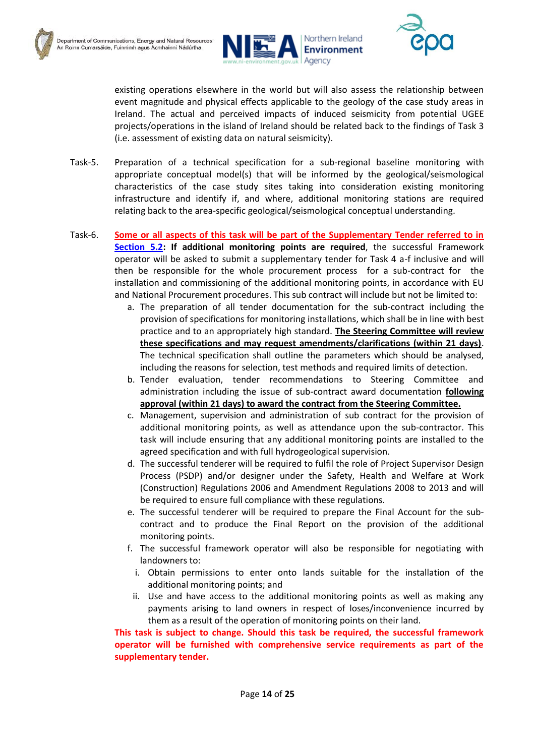



existing operations elsewhere in the world but will also assess the relationship between event magnitude and physical effects applicable to the geology of the case study areas in Ireland. The actual and perceived impacts of induced seismicity from potential UGEE projects/operations in the island of Ireland should be related back to the findings of Task 3 (i.e. assessment of existing data on natural seismicity).

- Task-5. Preparation of a technical specification for a sub-regional baseline monitoring with appropriate conceptual model(s) that will be informed by the geological/seismological characteristics of the case study sites taking into consideration existing monitoring infrastructure and identify if, and where, additional monitoring stations are required relating back to the area-specific geological/seismological conceptual understanding.
- Task-6. **Some or all aspects of this task will be part of the Supplementary Tender referred to in [Section 5.2:](#page-8-0) If additional monitoring points are required**, the successful Framework operator will be asked to submit a supplementary tender for Task 4 a-f inclusive and will then be responsible for the whole procurement process for a sub-contract for the installation and commissioning of the additional monitoring points, in accordance with EU and National Procurement procedures. This sub contract will include but not be limited to:
	- a. The preparation of all tender documentation for the sub-contract including the provision of specifications for monitoring installations, which shall be in line with best practice and to an appropriately high standard. **The Steering Committee will review these specifications and may request amendments/clarifications (within 21 days)**. The technical specification shall outline the parameters which should be analysed, including the reasons for selection, test methods and required limits of detection.
	- b. Tender evaluation, tender recommendations to Steering Committee and administration including the issue of sub-contract award documentation **following approval (within 21 days) to award the contract from the Steering Committee.**
	- c. Management, supervision and administration of sub contract for the provision of additional monitoring points, as well as attendance upon the sub-contractor. This task will include ensuring that any additional monitoring points are installed to the agreed specification and with full hydrogeological supervision.
	- d. The successful tenderer will be required to fulfil the role of Project Supervisor Design Process (PSDP) and/or designer under the Safety, Health and Welfare at Work (Construction) Regulations 2006 and Amendment Regulations 2008 to 2013 and will be required to ensure full compliance with these regulations.
	- e. The successful tenderer will be required to prepare the Final Account for the subcontract and to produce the Final Report on the provision of the additional monitoring points.
	- f. The successful framework operator will also be responsible for negotiating with landowners to:
		- i. Obtain permissions to enter onto lands suitable for the installation of the additional monitoring points; and
	- ii. Use and have access to the additional monitoring points as well as making any payments arising to land owners in respect of loses/inconvenience incurred by them as a result of the operation of monitoring points on their land.

**This task is subject to change. Should this task be required, the successful framework operator will be furnished with comprehensive service requirements as part of the supplementary tender.**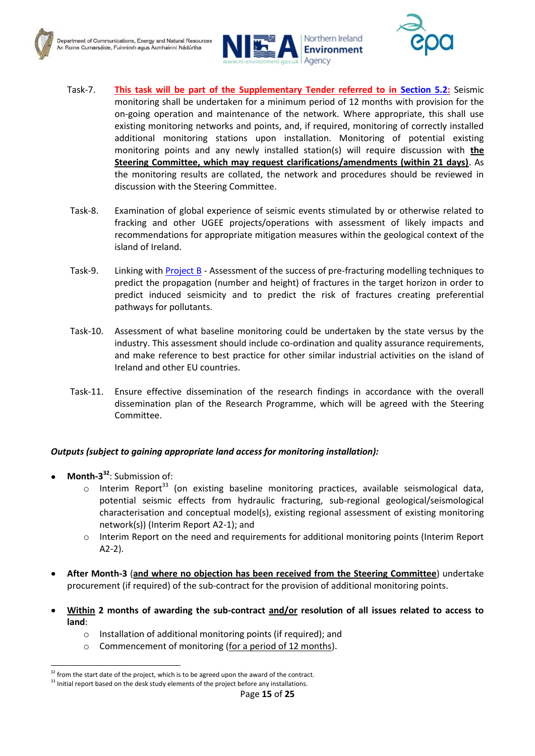





- Task-7. **This task will be part of the Supplementary Tender referred to in [Section 5.2:](#page-8-0)** Seismic monitoring shall be undertaken for a minimum period of 12 months with provision for the on-going operation and maintenance of the network. Where appropriate, this shall use existing monitoring networks and points, and, if required, monitoring of correctly installed additional monitoring stations upon installation. Monitoring of potential existing monitoring points and any newly installed station(s) will require discussion with **the Steering Committee, which may request clarifications/amendments (within 21 days)**. As the monitoring results are collated, the network and procedures should be reviewed in discussion with the Steering Committee.
- Task-8. Examination of global experience of seismic events stimulated by or otherwise related to fracking and other UGEE projects/operations with assessment of likely impacts and recommendations for appropriate mitigation measures within the geological context of the island of Ireland.
- Task-9. Linking with [Project B](#page-18-0) Assessment of the success of pre-fracturing modelling techniques to predict the propagation (number and height) of fractures in the target horizon in order to predict induced seismicity and to predict the risk of fractures creating preferential pathways for pollutants.
- Task-10. Assessment of what baseline monitoring could be undertaken by the state versus by the industry. This assessment should include co-ordination and quality assurance requirements, and make reference to best practice for other similar industrial activities on the island of Ireland and other EU countries.
- Task-11. Ensure effective dissemination of the research findings in accordance with the overall dissemination plan of the Research Programme, which will be agreed with the Steering Committee.

#### *Outputs (subject to gaining appropriate land access for monitoring installation):*

**Month-3 <sup>32</sup>**: Submission of:

- $\circ$  Interim Report<sup>33</sup> (on existing baseline monitoring practices, available seismological data, potential seismic effects from hydraulic fracturing, sub-regional geological/seismological characterisation and conceptual model(s), existing regional assessment of existing monitoring network(s)) (Interim Report A2-1); and
- o Interim Report on the need and requirements for additional monitoring points (Interim Report A2-2).
- **After Month-3** (**and where no objection has been received from the Steering Committee**) undertake procurement (if required) of the sub-contract for the provision of additional monitoring points.
- **Within 2 months of awarding the sub-contract and/or resolution of all issues related to access to land**:
	- o Installation of additional monitoring points (if required); and
	- o Commencement of monitoring (for a period of 12 months).

 $32$  from the start date of the project, which is to be agreed upon the award of the contract.

<sup>&</sup>lt;sup>33</sup> Initial report based on the desk study elements of the project before any installations.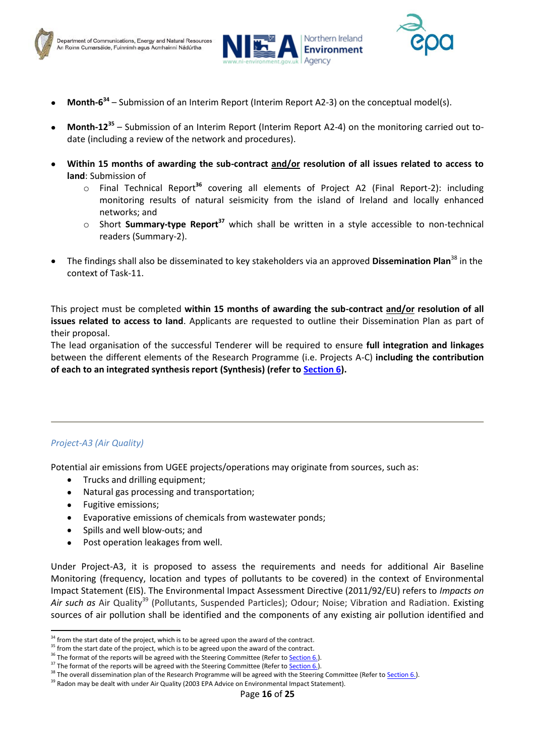





- **Month-6 34** Submission of an Interim Report (Interim Report A2-3) on the conceptual model(s).
- **Month-12<sup>35</sup>** Submission of an Interim Report (Interim Report A2-4) on the monitoring carried out todate (including a review of the network and procedures).
- **Within 15 months of awarding the sub-contract and/or resolution of all issues related to access to land**: Submission of
	- o Final Technical Report**<sup>36</sup>** covering all elements of Project A2 (Final Report-2): including monitoring results of natural seismicity from the island of Ireland and locally enhanced networks; and
	- o Short **Summary-type Report<sup>37</sup>** which shall be written in a style accessible to non-technical readers (Summary-2).
- The findings shall also be disseminated to key stakeholders via an approved **Dissemination Plan**<sup>38</sup> in the context of Task-11.

This project must be completed **within 15 months of awarding the sub-contract and/or resolution of all issues related to access to land**. Applicants are requested to outline their Dissemination Plan as part of their proposal.

The lead organisation of the successful Tenderer will be required to ensure **full integration and linkages** between the different elements of the Research Programme (i.e. Projects A-C) **including the contribution of each to an integrated synthesis report (Synthesis) (refer to [Section 6\)](#page-22-0).**

#### <span id="page-16-0"></span>*Project-A3 (Air Quality)*

1

Potential air emissions from UGEE projects/operations may originate from sources, such as:

- Trucks and drilling equipment;  $\bullet$
- Natural gas processing and transportation;
- $\bullet$ Fugitive emissions;
- Evaporative emissions of chemicals from wastewater ponds;
- Spills and well blow-outs; and  $\bullet$
- $\bullet$ Post operation leakages from well.

Under Project-A3, it is proposed to assess the requirements and needs for additional Air Baseline Monitoring (frequency, location and types of pollutants to be covered) in the context of Environmental Impact Statement (EIS). The Environmental Impact Assessment Directive (2011/92/EU) refers to *Impacts on* Air such as Air Quality<sup>39</sup> (Pollutants, Suspended Particles); Odour; Noise; Vibration and Radiation. Existing sources of air pollution shall be identified and the components of any existing air pollution identified and

 $34$  from the start date of the project, which is to be agreed upon the award of the contract.

<sup>&</sup>lt;sup>35</sup> from the start date of the project, which is to be agreed upon the award of the contract.

<sup>&</sup>lt;sup>36</sup> The format of the reports will be agreed with the Steering Committee (Refer to **Section 6.**).

<sup>&</sup>lt;sup>37</sup> The format of the reports will be agreed with the Steering Committee (Refer to **Section 6.**).

<sup>&</sup>lt;sup>38</sup> The overall dissemination plan of the Research Programme will be agreed with the Steering Committee (Refer to Section 6.).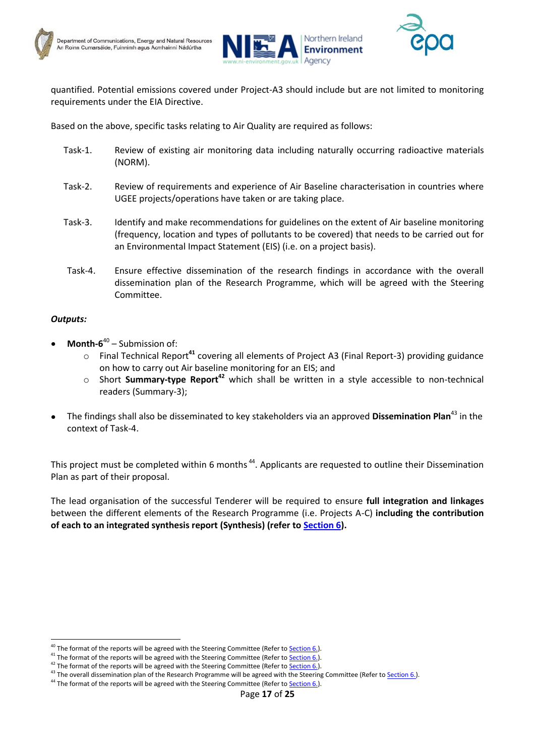





quantified. Potential emissions covered under Project-A3 should include but are not limited to monitoring requirements under the EIA Directive.

Based on the above, specific tasks relating to Air Quality are required as follows:

- Task-1. Review of existing air monitoring data including naturally occurring radioactive materials (NORM).
- Task-2. Review of requirements and experience of Air Baseline characterisation in countries where UGEE projects/operations have taken or are taking place.
- Task-3. Identify and make recommendations for guidelines on the extent of Air baseline monitoring (frequency, location and types of pollutants to be covered) that needs to be carried out for an Environmental Impact Statement (EIS) (i.e. on a project basis).
- Task-4. Ensure effective dissemination of the research findings in accordance with the overall dissemination plan of the Research Programme, which will be agreed with the Steering Committee.

#### *Outputs:*

1

- **Month-6** 40 Submission of:
	- o Final Technical Report**<sup>41</sup>** covering all elements of Project A3 (Final Report-3) providing guidance on how to carry out Air baseline monitoring for an EIS; and
	- o Short **Summary-type Report<sup>42</sup>** which shall be written in a style accessible to non-technical readers (Summary-3);
- The findings shall also be disseminated to key stakeholders via an approved **Dissemination Plan**<sup>43</sup> in the context of Task-4.

This project must be completed within 6 months<sup>44</sup>. Applicants are requested to outline their Dissemination Plan as part of their proposal.

The lead organisation of the successful Tenderer will be required to ensure **full integration and linkages** between the different elements of the Research Programme (i.e. Projects A-C) **including the contribution of each to an integrated synthesis report (Synthesis) (refer to [Section 6\)](#page-22-0).**

<sup>&</sup>lt;sup>40</sup> The format of the reports will be agreed with the Steering Committee (Refer to **Section 6.**).

<sup>&</sup>lt;sup>41</sup> The format of the reports will be agreed with the Steering Committee (Refer to **Section 6.**).

 $42$  The format of the reports will be agreed with the Steering Committee (Refer to Section 6.).

<sup>&</sup>lt;sup>43</sup> The overall dissemination plan of the Research Programme will be agreed with the Steering Committee (Refer to Section 6.).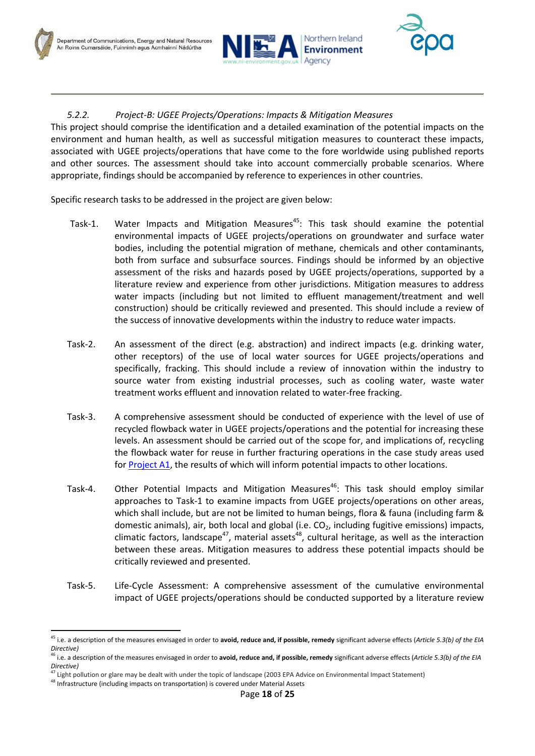



## <span id="page-18-0"></span>*5.2.2. Project-B: UGEE Projects/Operations: Impacts & Mitigation Measures*

This project should comprise the identification and a detailed examination of the potential impacts on the environment and human health, as well as successful mitigation measures to counteract these impacts, associated with UGEE projects/operations that have come to the fore worldwide using published reports and other sources. The assessment should take into account commercially probable scenarios. Where appropriate, findings should be accompanied by reference to experiences in other countries.

Specific research tasks to be addressed in the project are given below:

- Task-1. Water Impacts and Mitigation Measures<sup>45</sup>: This task should examine the potential environmental impacts of UGEE projects/operations on groundwater and surface water bodies, including the potential migration of methane, chemicals and other contaminants, both from surface and subsurface sources. Findings should be informed by an objective assessment of the risks and hazards posed by UGEE projects/operations, supported by a literature review and experience from other jurisdictions. Mitigation measures to address water impacts (including but not limited to effluent management/treatment and well construction) should be critically reviewed and presented. This should include a review of the success of innovative developments within the industry to reduce water impacts.
- Task-2. An assessment of the direct (e.g. abstraction) and indirect impacts (e.g. drinking water, other receptors) of the use of local water sources for UGEE projects/operations and specifically, fracking. This should include a review of innovation within the industry to source water from existing industrial processes, such as cooling water, waste water treatment works effluent and innovation related to water-free fracking.
- Task-3. A comprehensive assessment should be conducted of experience with the level of use of recycled flowback water in UGEE projects/operations and the potential for increasing these levels. An assessment should be carried out of the scope for, and implications of, recycling the flowback water for reuse in further fracturing operations in the case study areas used for [Project A1,](#page-9-0) the results of which will inform potential impacts to other locations.
- Task-4. Other Potential Impacts and Mitigation Measures<sup>46</sup>: This task should employ similar approaches to Task-1 to examine impacts from UGEE projects/operations on other areas, which shall include, but are not be limited to human beings, flora & fauna (including farm & domestic animals), air, both local and global (i.e.  $CO<sub>2</sub>$ , including fugitive emissions) impacts, climatic factors, landscape<sup>47</sup>, material assets<sup>48</sup>, cultural heritage, as well as the interaction between these areas. Mitigation measures to address these potential impacts should be critically reviewed and presented.
- Task-5. Life-Cycle Assessment: A comprehensive assessment of the cumulative environmental impact of UGEE projects/operations should be conducted supported by a literature review

<sup>45</sup> i.e. a description of the measures envisaged in order to **avoid, reduce and, if possible, remedy** significant adverse effects (*Article 5.3(b) of the EIA Directive)*

<sup>46</sup> i.e. a description of the measures envisaged in order to **avoid, reduce and, if possible, remedy** significant adverse effects (*Article 5.3(b) of the EIA Directive)*

<sup>47</sup> Light pollution or glare may be dealt with under the topic of landscape (2003 EPA Advice on Environmental Impact Statement)

<sup>48</sup> Infrastructure (including impacts on transportation) is covered under Material Assets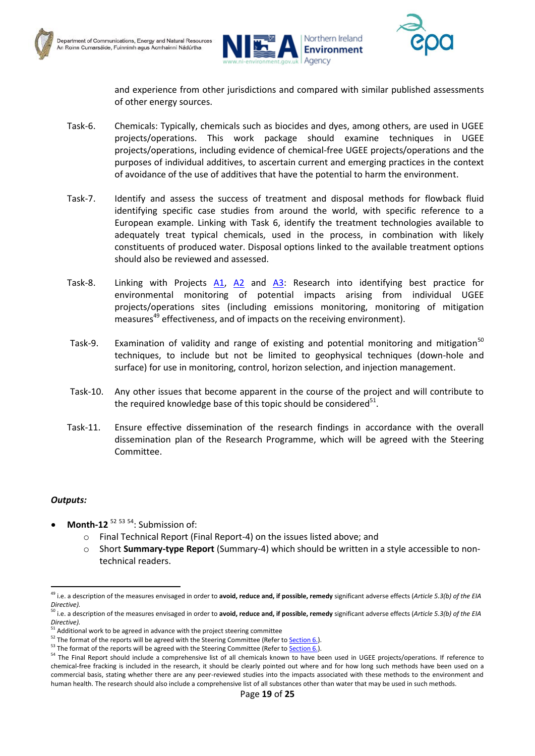





and experience from other jurisdictions and compared with similar published assessments of other energy sources.

- Task-6. Chemicals: Typically, chemicals such as biocides and dyes, among others, are used in UGEE projects/operations. This work package should examine techniques in UGEE projects/operations, including evidence of chemical-free UGEE projects/operations and the purposes of individual additives, to ascertain current and emerging practices in the context of avoidance of the use of additives that have the potential to harm the environment.
- Task-7. Identify and assess the success of treatment and disposal methods for flowback fluid identifying specific case studies from around the world, with specific reference to a European example. Linking with Task 6, identify the treatment technologies available to adequately treat typical chemicals, used in the process, in combination with likely constituents of produced water. Disposal options linked to the available treatment options should also be reviewed and assessed.
- Task-8. Linking with Projects [A1,](#page-9-0) [A2](#page-13-0) and [A3:](#page-16-0) Research into identifying best practice for environmental monitoring of potential impacts arising from individual UGEE projects/operations sites (including emissions monitoring, monitoring of mitigation measures<sup>49</sup> effectiveness, and of impacts on the receiving environment).
- Task-9. Examination of validity and range of existing and potential monitoring and mitigation<sup>50</sup> techniques, to include but not be limited to geophysical techniques (down-hole and surface) for use in monitoring, control, horizon selection, and injection management.
- Task-10. Any other issues that become apparent in the course of the project and will contribute to the required knowledge base of this topic should be considered $51$ .
- Task-11. Ensure effective dissemination of the research findings in accordance with the overall dissemination plan of the Research Programme, which will be agreed with the Steering Committee.

#### *Outputs:*

**.** 

- **Month-12**<sup>52 53 54</sup>: Submission of:
	- o Final Technical Report (Final Report-4) on the issues listed above; and
	- Short Summary-type Report (Summary-4) which should be written in a style accessible to nontechnical readers.

<sup>49</sup> i.e. a description of the measures envisaged in order to **avoid, reduce and, if possible, remedy** significant adverse effects (*Article 5.3(b) of the EIA Directive).*

<sup>50</sup> i.e. a description of the measures envisaged in order to **avoid, reduce and, if possible, remedy** significant adverse effects (*Article 5.3(b) of the EIA Directive).*

<sup>&</sup>lt;sup>51</sup> Additional work to be agreed in advance with the project steering committee

 $\frac{52}{100}$  The format of the reports will be agreed with the Steering Committee (Refer to Section 6.).

 $53$  The format of the reports will be agreed with the Steering Committee (Refer to **Section 6.**).

<sup>&</sup>lt;sup>54</sup> The Final Report should include a comprehensive list of all chemicals known to have been used in UGEE projects/operations. If reference to chemical-free fracking is included in the research, it should be clearly pointed out where and for how long such methods have been used on a commercial basis, stating whether there are any peer-reviewed studies into the impacts associated with these methods to the environment and human health. The research should also include a comprehensive list of all substances other than water that may be used in such methods.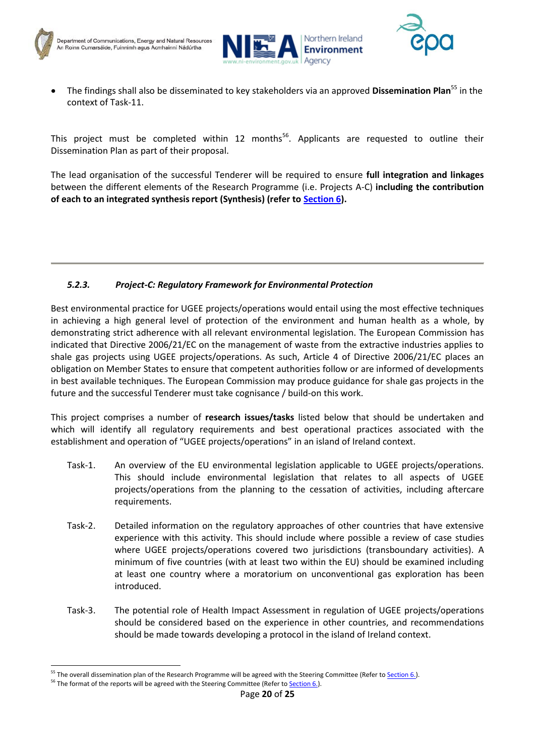

1





The findings shall also be disseminated to key stakeholders via an approved **Dissemination Plan**<sup>55</sup> in the context of Task-11.

This project must be completed within 12 months<sup>56</sup>. Applicants are requested to outline their Dissemination Plan as part of their proposal.

The lead organisation of the successful Tenderer will be required to ensure **full integration and linkages** between the different elements of the Research Programme (i.e. Projects A-C) **including the contribution of each to an integrated synthesis report (Synthesis) (refer to [Section 6\)](#page-22-0).**

## <span id="page-20-0"></span>*5.2.3. Project-C: Regulatory Framework for Environmental Protection*

Best environmental practice for UGEE projects/operations would entail using the most effective techniques in achieving a high general level of protection of the environment and human health as a whole, by demonstrating strict adherence with all relevant environmental legislation. The European Commission has indicated that Directive 2006/21/EC on the management of waste from the extractive industries applies to shale gas projects using UGEE projects/operations. As such, Article 4 of Directive 2006/21/EC places an obligation on Member States to ensure that competent authorities follow or are informed of developments in best available techniques. The European Commission may produce guidance for shale gas projects in the future and the successful Tenderer must take cognisance / build-on this work.

This project comprises a number of **research issues/tasks** listed below that should be undertaken and which will identify all regulatory requirements and best operational practices associated with the establishment and operation of "UGEE projects/operations" in an island of Ireland context.

- Task-1. An overview of the EU environmental legislation applicable to UGEE projects/operations. This should include environmental legislation that relates to all aspects of UGEE projects/operations from the planning to the cessation of activities, including aftercare requirements.
- Task-2. Detailed information on the regulatory approaches of other countries that have extensive experience with this activity. This should include where possible a review of case studies where UGEE projects/operations covered two jurisdictions (transboundary activities). A minimum of five countries (with at least two within the EU) should be examined including at least one country where a moratorium on unconventional gas exploration has been introduced.
- Task-3. The potential role of Health Impact Assessment in regulation of UGEE projects/operations should be considered based on the experience in other countries, and recommendations should be made towards developing a protocol in the island of Ireland context.

<sup>&</sup>lt;sup>55</sup> The overall dissemination plan of the Research Programme will be agreed with the Steering Committee (Refer to Section 6.).

<sup>&</sup>lt;sup>56</sup> The format of the reports will be agreed with the Steering Committee (Refer to **Section 6.**).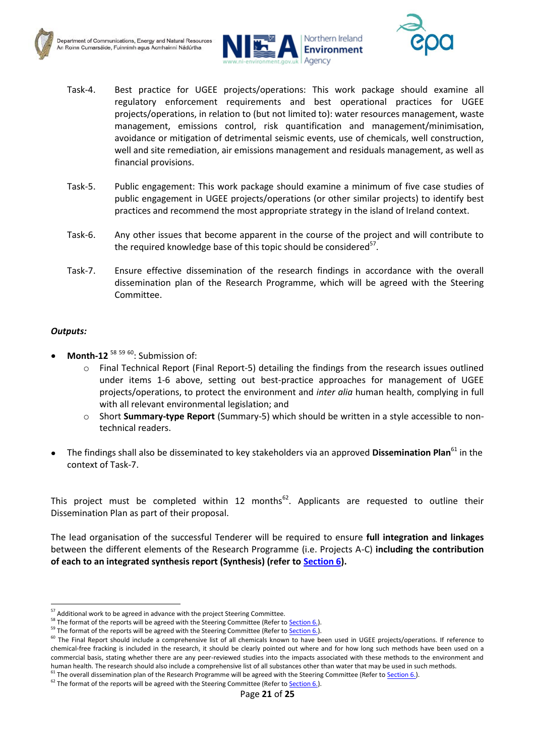



- Task-4. Best practice for UGEE projects/operations: This work package should examine all regulatory enforcement requirements and best operational practices for UGEE projects/operations, in relation to (but not limited to): water resources management, waste management, emissions control, risk quantification and management/minimisation, avoidance or mitigation of detrimental seismic events, use of chemicals, well construction, well and site remediation, air emissions management and residuals management, as well as financial provisions.
- Task-5. Public engagement: This work package should examine a minimum of five case studies of public engagement in UGEE projects/operations (or other similar projects) to identify best practices and recommend the most appropriate strategy in the island of Ireland context.
- Task-6. Any other issues that become apparent in the course of the project and will contribute to the required knowledge base of this topic should be considered<sup>57</sup>.
- Task-7. Ensure effective dissemination of the research findings in accordance with the overall dissemination plan of the Research Programme, which will be agreed with the Steering Committee.

#### *Outputs:*

- **Month-12** <sup>58 59 60</sup>: Submission of:
	- o Final Technical Report (Final Report-5) detailing the findings from the research issues outlined under items 1-6 above, setting out best-practice approaches for management of UGEE projects/operations, to protect the environment and *inter alia* human health, complying in full with all relevant environmental legislation; and
	- o Short **Summary-type Report** (Summary-5) which should be written in a style accessible to nontechnical readers.
- The findings shall also be disseminated to key stakeholders via an approved **Dissemination Plan**<sup>61</sup> in the context of Task-7.

This project must be completed within 12 months<sup>62</sup>. Applicants are requested to outline their Dissemination Plan as part of their proposal.

The lead organisation of the successful Tenderer will be required to ensure **full integration and linkages** between the different elements of the Research Programme (i.e. Projects A-C) **including the contribution of each to an integrated synthesis report (Synthesis) (refer to [Section 6\)](#page-22-0).**

**<sup>.</sup>**  $57$  Additional work to be agreed in advance with the project Steering Committee.

<sup>&</sup>lt;sup>58</sup> The format of the reports will be agreed with the Steering Committee (Refer to **Section 6.**).

<sup>&</sup>lt;sup>59</sup> The format of the reports will be agreed with the Steering Committee (Refer to **Section 6.)**.

<sup>&</sup>lt;sup>60</sup> The Final Report should include a comprehensive list of all chemicals known to have been used in UGEE projects/operations. If reference to chemical-free fracking is included in the research, it should be clearly pointed out where and for how long such methods have been used on a commercial basis, stating whether there are any peer-reviewed studies into the impacts associated with these methods to the environment and human health. The research should also include a comprehensive list of all substances other than water that may be used in such methods.

<sup>&</sup>lt;sup>61</sup> The overall dissemination plan of the Research Programme will be agreed with the Steering Committee (Refer to Section 6.).

 $62$  The format of the reports will be agreed with the Steering Committee (Refer to **Section 6.**).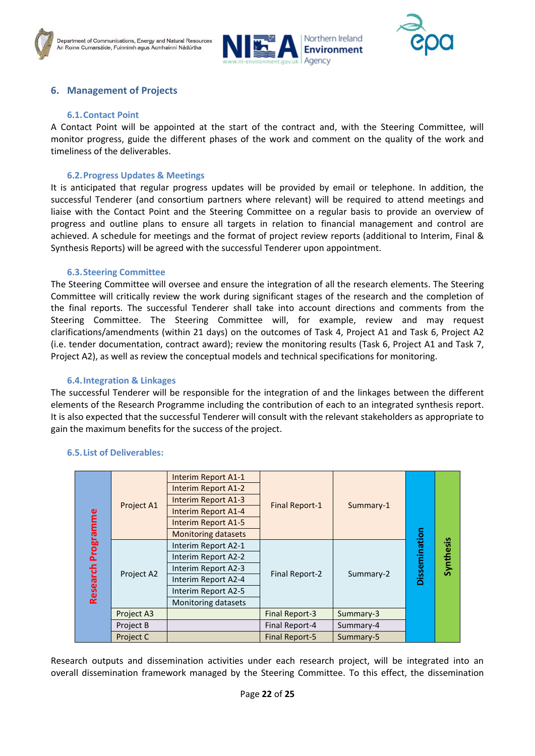



## <span id="page-22-0"></span>**6. Management of Projects**

#### **6.1.Contact Point**

<span id="page-22-1"></span>A Contact Point will be appointed at the start of the contract and, with the Steering Committee, will monitor progress, guide the different phases of the work and comment on the quality of the work and timeliness of the deliverables.

#### **6.2.Progress Updates & Meetings**

<span id="page-22-2"></span>It is anticipated that regular progress updates will be provided by email or telephone. In addition, the successful Tenderer (and consortium partners where relevant) will be required to attend meetings and liaise with the Contact Point and the Steering Committee on a regular basis to provide an overview of progress and outline plans to ensure all targets in relation to financial management and control are achieved. A schedule for meetings and the format of project review reports (additional to Interim, Final & Synthesis Reports) will be agreed with the successful Tenderer upon appointment.

#### **6.3.Steering Committee**

<span id="page-22-3"></span>The Steering Committee will oversee and ensure the integration of all the research elements. The Steering Committee will critically review the work during significant stages of the research and the completion of the final reports. The successful Tenderer shall take into account directions and comments from the Steering Committee. The Steering Committee will, for example, review and may request clarifications/amendments (within 21 days) on the outcomes of Task 4, Project A1 and Task 6, Project A2 (i.e. tender documentation, contract award); review the monitoring results (Task 6, Project A1 and Task 7, Project A2), as well as review the conceptual models and technical specifications for monitoring.

#### **6.4.Integration & Linkages**

<span id="page-22-4"></span>The successful Tenderer will be responsible for the integration of and the linkages between the different elements of the Research Programme including the contribution of each to an integrated synthesis report. It is also expected that the successful Tenderer will consult with the relevant stakeholders as appropriate to gain the maximum benefits for the success of the project.

| Programme<br>Research | Project A1       | Interim Report A1-1        | <b>Final Report-1</b> | Summary-1 |               |           |
|-----------------------|------------------|----------------------------|-----------------------|-----------|---------------|-----------|
|                       |                  | Interim Report A1-2        |                       |           |               |           |
|                       |                  | <b>Interim Report A1-3</b> |                       |           |               |           |
|                       |                  | Interim Report A1-4        |                       |           | Dissemination |           |
|                       |                  | Interim Report A1-5        |                       |           |               |           |
|                       |                  | <b>Monitoring datasets</b> |                       |           |               |           |
|                       | Project A2       | Interim Report A2-1        | Final Report-2        | Summary-2 |               | Synthesis |
|                       |                  | Interim Report A2-2        |                       |           |               |           |
|                       |                  | Interim Report A2-3        |                       |           |               |           |
|                       |                  | Interim Report A2-4        |                       |           |               |           |
|                       |                  | Interim Report A2-5        |                       |           |               |           |
|                       |                  | Monitoring datasets        |                       |           |               |           |
|                       | Project A3       |                            | <b>Final Report-3</b> | Summary-3 |               |           |
|                       | Project B        |                            | Final Report-4        | Summary-4 |               |           |
|                       | <b>Project C</b> |                            | <b>Final Report-5</b> | Summary-5 |               |           |

#### <span id="page-22-5"></span>**6.5.List of Deliverables:**

Research outputs and dissemination activities under each research project, will be integrated into an overall dissemination framework managed by the Steering Committee. To this effect, the dissemination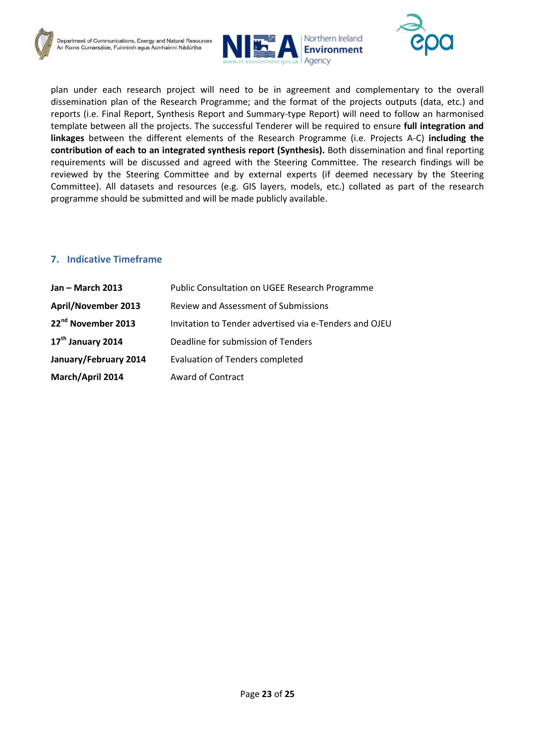



plan under each research project will need to be in agreement and complementary to the overall dissemination plan of the Research Programme; and the format of the projects outputs (data, etc.) and reports (i.e. Final Report, Synthesis Report and Summary-type Report) will need to follow an harmonised template between all the projects. The successful Tenderer will be required to ensure **full integration and linkages** between the different elements of the Research Programme (i.e. Projects A-C) **including the contribution of each to an integrated synthesis report (Synthesis).** Both dissemination and final reporting requirements will be discussed and agreed with the Steering Committee. The research findings will be reviewed by the Steering Committee and by external experts (if deemed necessary by the Steering Committee). All datasets and resources (e.g. GIS layers, models, etc.) collated as part of the research programme should be submitted and will be made publicly available.

## <span id="page-23-0"></span>**7. Indicative Timeframe**

| <b>Jan - March 2013</b>        | Public Consultation on UGEE Research Programme         |
|--------------------------------|--------------------------------------------------------|
| April/November 2013            | <b>Review and Assessment of Submissions</b>            |
| 22 <sup>nd</sup> November 2013 | Invitation to Tender advertised via e-Tenders and OJEU |
| 17 <sup>th</sup> January 2014  | Deadline for submission of Tenders                     |
| January/February 2014          | <b>Evaluation of Tenders completed</b>                 |
| March/April 2014               | Award of Contract                                      |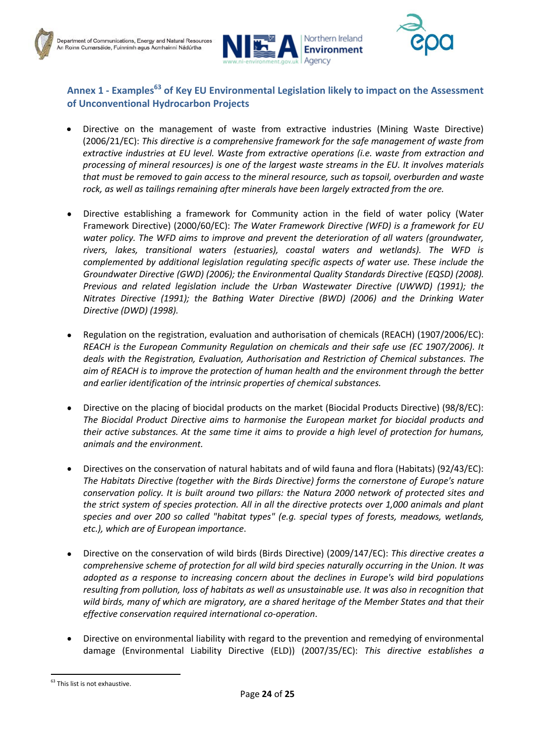



## <span id="page-24-0"></span>**Annex 1 - Examples<sup>63</sup> of Key EU Environmental Legislation likely to impact on the Assessment of Unconventional Hydrocarbon Projects**

- Directive on the management of waste from extractive industries (Mining Waste Directive)  $\bullet$ (2006/21/EC): *This directive is a comprehensive framework for the safe management of waste from extractive industries at EU level. Waste from extractive operations (i.e. waste from extraction and processing of mineral resources) is one of the largest waste streams in the EU. It involves materials that must be removed to gain access to the mineral resource, such as topsoil, overburden and waste rock, as well as tailings remaining after minerals have been largely extracted from the ore.*
- Directive establishing a framework for Community action in the field of water policy (Water Framework Directive) (2000/60/EC): *The Water Framework Directive (WFD) is a framework for EU water policy. The WFD aims to improve and prevent the deterioration of all waters (groundwater, rivers, lakes, transitional waters (estuaries), coastal waters and wetlands). The WFD is complemented by additional legislation regulating specific aspects of water use. These include the Groundwater Directive (GWD) (2006); the Environmental Quality Standards Directive (EQSD) (2008). Previous and related legislation include the Urban Wastewater Directive (UWWD) (1991); the Nitrates Directive (1991); the Bathing Water Directive (BWD) (2006) and the Drinking Water Directive (DWD) (1998).*
- Regulation on the registration, evaluation and authorisation of chemicals (REACH) (1907/2006/EC): *REACH is the European Community Regulation on chemicals and their safe use [\(EC 1907/2006\).](http://eur-lex.europa.eu/LexUriServ/LexUriServ.do?uri=CELEX:32006R1907:EN:NOT) It deals with the Registration, Evaluation, Authorisation and Restriction of Chemical substances. The aim of REACH is to improve the protection of human health and the environment through the better and earlier identification of the intrinsic properties of chemical substances.*
- Directive on the placing of biocidal products on the market (Biocidal Products Directive) (98/8/EC):  $\bullet$ *The Biocidal Product Directive aims to harmonise the European market for biocidal products and their active substances. At the same time it aims to provide a high level of protection for humans, animals and the environment.*
- Directives on the conservation of natural habitats and of wild fauna and flora (Habitats) (92/43/EC):  $\bullet$ *The Habitats Directive (together with the [Birds Directive\)](http://ec.europa.eu/environment/nature/legislation/birdsdirective/index_en.htm) forms the cornerstone of Europe's nature conservation policy. It is built around two pillars: the [Natura 2000 network](http://ec.europa.eu/environment/nature/natura2000/index_en.htm) of protected sites and the strict system of species protection. All in all the directive protects over 1,000 animals and plant species and over 200 so called "habitat types" (e.g. special types of forests, meadows, wetlands, etc.), which are of European importance*.
- Directive on the conservation of wild birds (Birds Directive) (2009/147/EC): *This directive creates a comprehensive scheme of protection for all wild bird species naturally occurring in the Union. It was adopted as a response to increasing concern about the declines in Europe's wild bird populations resulting from pollution, loss of habitats as well as unsustainable use. It was also in recognition that wild birds, many of which are migratory, are a shared heritage of the Member States and that their effective conservation required international co-operation*.
- Directive on environmental liability with regard to the prevention and remedying of environmental damage (Environmental Liability Directive (ELD)) (2007/35/EC): *This directive establishes a*

<sup>1</sup> <sup>63</sup> This list is not exhaustive.